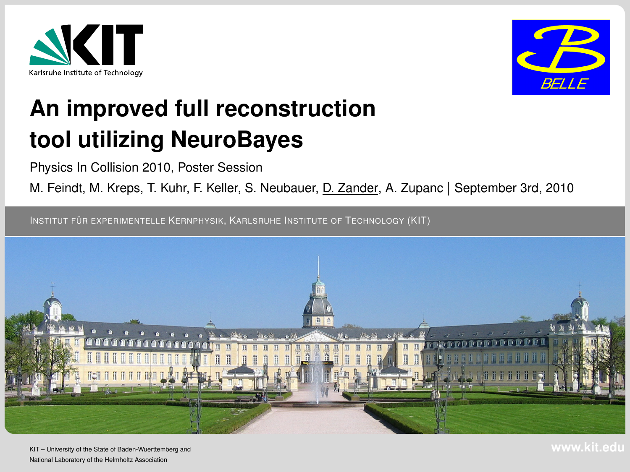



# **An improved full reconstruction tool utilizing NeuroBayes**

Physics In Collision 2010, Poster Session

M. Feindt, M. Kreps, T. Kuhr, F. Keller, S. Neubauer, D. Zander, A. Zupanc | September 3rd, 2010

INSTITUT FÜR EXPERIMENTELLE KERNPHYSIK, KARLSRUHE INSTITUTE OF TECHNOLOGY (KIT)

<span id="page-0-0"></span>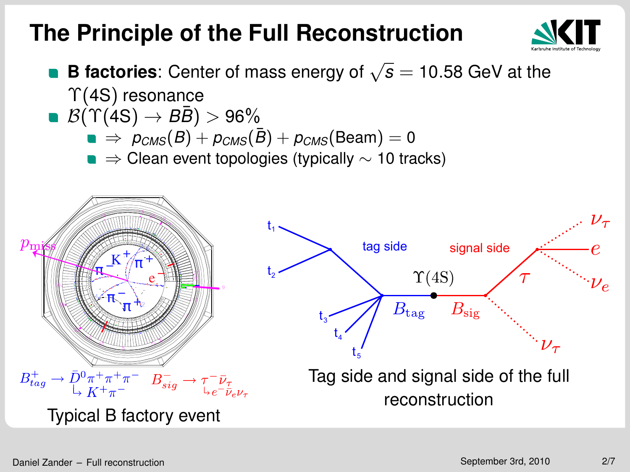## **The Principle of the Full Reconstruction**



- **B factories**: Center of mass energy of <sup>√</sup> *s* = 10.58 GeV at the  $\Upsilon(4S)$  resonance
- $\mathbf{B}(\Upsilon(4S) \rightarrow B\bar{B}) > 96\%$ 
	- $\bullet \Rightarrow p_{CMS}(B) + p_{CMS}(\bar{B}) + p_{CMS}(\text{Beam}) = 0$
	- $\blacksquare \Rightarrow$  Clean event topologies (typically  $\sim$  10 tracks)

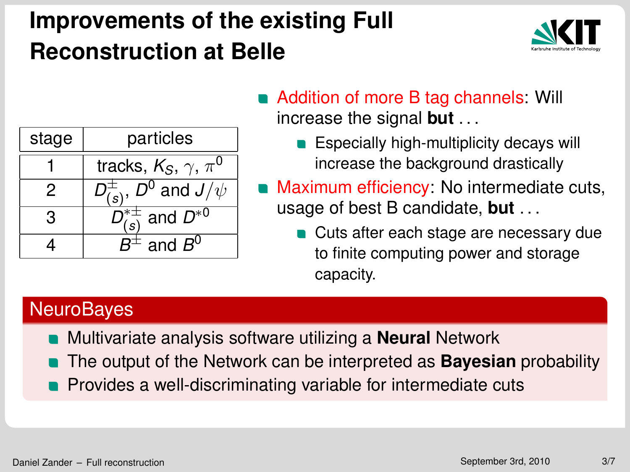# **Improvements of the existing Full Reconstruction at Belle**



| stage | particles                                       |
|-------|-------------------------------------------------|
|       | tracks, $K_S$ , $\gamma$ , $\pi^0$              |
|       | $D_{(s)}^{\pm}$ , $D^0$ and $\overline{J/\psi}$ |
| з     | $D_{\text{col}}^{* \pm}$ and $D^{*0}$           |
|       | $^{\scriptscriptstyle \vdots}$ and $B^0$        |

- Addition of more B tag channels: Will increase the signal **but** . . .
	- **Especially high-multiplicity decays will** increase the background drastically
- Maximum efficiency: No intermediate cuts, usage of best B candidate, **but** . . .
	- **Cuts after each stage are necessary due** to finite computing power and storage capacity.

#### **NeuroBayes**

- Multivariate analysis software utilizing a **Neural** Network
- The output of the Network can be interpreted as **Bayesian** probability
- **Provides a well-discriminating variable for intermediate cuts**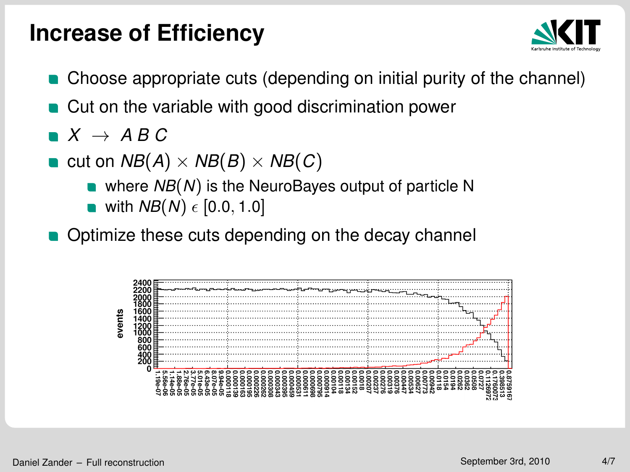### **Increase of Efficiency**



- Choose appropriate cuts (depending on initial purity of the channel)
- **Cut on the variable with good discrimination power**
- $\blacksquare$  *X*  $\rightarrow$  *ABC*
- **c** cut on  $NB(A) \times NB(B) \times NB(C)$ 
	- where *NB*(*N*) is the NeuroBayes output of particle N
	- **u** with  $NB(N) \in [0.0, 1.0]$
- **Optimize these cuts depending on the decay channel**

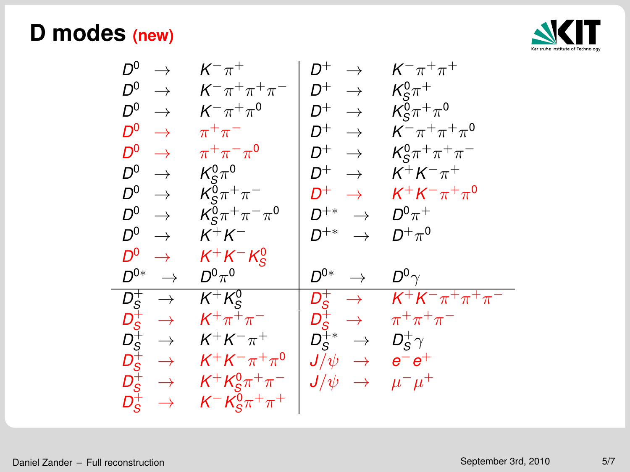#### **D modes (new)**



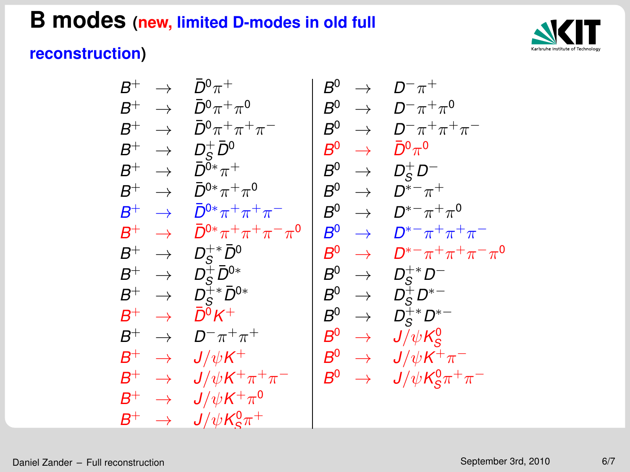### **B modes (new, limited D-modes in old full**



#### **reconstruction)**

$$
\begin{array}{c|c|c} B^+ & \to & \bar{D}^0 \pi^+ \\ B^+ & \to & \bar{D}^0 \pi^+ \pi^0 \\ B^+ & \to & \bar{D}^0 \pi^+ \pi^+ \pi^- \\ B^+ & \to & D_S^+ \bar{D}^0 \\ B^+ & \to & \bar{D}^0{}^* \pi^+ \\ B^+ & \to & \bar{D}^0{}^* \pi^+ \pi^0 \\ B^+ & \to & \bar{D}^0{}^* \pi^+ \pi^0 \\ B^+ & \to & \bar{D}^0{}^* \pi^+ \pi^+ \pi^- \\ B^+ & \to & \bar{D}^0{}^* \pi^+ \pi^+ \pi^- \\ B^+ & \to & \bar{D}^0{}^* \pi^+ \pi^+ \pi^- \\ B^+ & \to & D_S^+ \bar{D}^0 \\ B^+ & \to & D_S^+ \bar{D}^0{}^* \\ B^+ & \to & D_S^+ \bar{D}^0{}^* \\ B^+ & \to & D_S^+ \bar{D}^0{}^* \\ B^+ & \to & D_S^+ \bar{D}^0{}^* \\ B^+ & \to & \bar{D}^0 K^+ \\ B^+ & \to & \bar{D}^0 K^+ \\ B^+ & \to & J/\psi K^+ \pi^+ \pi^- \\ B^+ & \to & J/\psi K^+ \pi^0 \\ B^+ & \to & J/\psi K^+ \pi^0 \\ B^+ & \to & J/\psi K^+ \pi^0 \\ B^+ & \to & J/\psi K^0 g \pi^+ \end{array}
$$